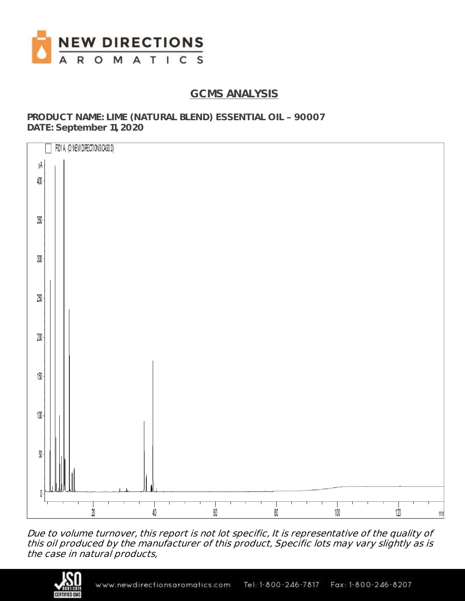

## **GCMS ANALYSIS**

**PRODUCT NAME: LIME (NATURAL BLEND) ESSENTIAL OIL 90007 DATE: September 11, 2020**



Due to volume turnover, this report is not lot specific, It is representative of the quality of this oil produced by the manufacturer of this product, Specific lots may vary slightly as is the case in natural products,

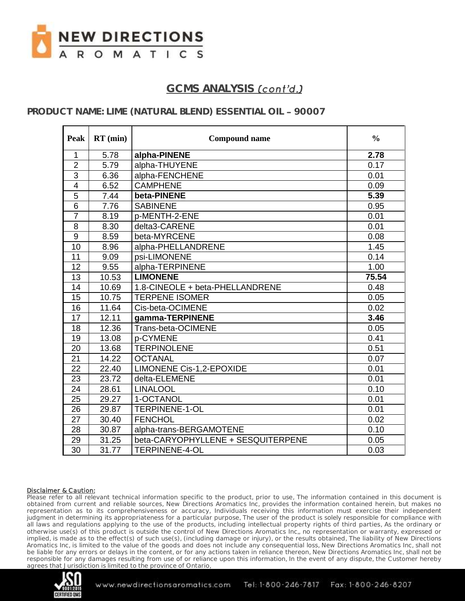

# GCMS ANALYSIS *(cont'd.)*

### **PRODUCT NAME: LIME (NATURAL BLEND) ESSENTIAL OIL 90007**

| Peak                    | $RT$ (min) | <b>Compound name</b>               | $\frac{0}{0}$ |
|-------------------------|------------|------------------------------------|---------------|
| $\mathbf{1}$            | 5.78       | alpha-PINENE                       | 2.78          |
| $\overline{2}$          | 5.79       | alpha-THUYENE                      | 0.17          |
| $\overline{3}$          | 6.36       | alpha-FENCHENE                     | 0.01          |
| $\overline{\mathbf{4}}$ | 6.52       | <b>CAMPHENE</b>                    | 0.09          |
| $\overline{5}$          | 7.44       | beta-PINENE                        | 5.39          |
| $\overline{6}$          | 7.76       | <b>SABINENE</b>                    | 0.95          |
| $\overline{7}$          | 8.19       | p-MENTH-2-ENE                      | 0.01          |
| 8                       | 8.30       | delta3-CARENE                      | 0.01          |
| $\overline{9}$          | 8.59       | beta-MYRCENE                       | 0.08          |
| 10                      | 8.96       | alpha-PHELLANDRENE                 | 1.45          |
| 11                      | 9.09       | psi-LIMONENE                       | 0.14          |
| 12                      | 9.55       | alpha-TERPINENE                    | 1.00          |
| 13                      | 10.53      | <b>LIMONENE</b>                    | 75.54         |
| 14                      | 10.69      | 1.8-CINEOLE + beta-PHELLANDRENE    | 0.48          |
| $\overline{15}$         | 10.75      | <b>TERPENE ISOMER</b>              | 0.05          |
| 16                      | 11.64      | Cis-beta-OCIMENE                   | 0.02          |
| 17                      | 12.11      | gamma-TERPINENE                    | 3.46          |
| 18                      | 12.36      | Trans-beta-OCIMENE                 | 0.05          |
| 19                      | 13.08      | p-CYMENE                           | 0.41          |
| 20                      | 13.68      | <b>TERPINOLENE</b>                 | 0.51          |
| 21                      | 14.22      | <b>OCTANAL</b>                     | 0.07          |
| 22                      | 22.40      | <b>LIMONENE Cis-1,2-EPOXIDE</b>    | 0.01          |
| 23                      | 23.72      | delta-ELEMENE                      | 0.01          |
| 24                      | 28.61      | <b>LINALOOL</b>                    | 0.10          |
| 25                      | 29.27      | 1-OCTANOL                          | 0.01          |
| 26                      | 29.87      | <b>TERPINENE-1-OL</b>              | 0.01          |
| 27                      | 30.40      | <b>FENCHOL</b>                     | 0.02          |
| 28                      | 30.87      | alpha-trans-BERGAMOTENE            | 0.10          |
| 29                      | 31.25      | beta-CARYOPHYLLENE + SESQUITERPENE | 0.05          |
| 30                      | 31.77      | TERPINENE-4-OL                     | 0.03          |

#### Disclaimer & Caution:

Please refer to all relevant technical information specific to the product, prior to use, The information contained in this document is obtained from current and reliable sources, New Directions Aromatics Inc, provides the information contained herein, but makes no representation as to its comprehensiveness or accuracy, Individuals receiving this information must exercise their independent judgment in determining its appropriateness for a particular purpose, The user of the product is solely responsible for compliance with all laws and regulations applying to the use of the products, including intellectual property rights of third parties, As the ordinary or otherwise use(s) of this product is outside the control of New Directions Aromatics Inc,, no representation or warranty, expressed or implied, is made as to the effect(s) of such use(s), (including damage or injury), or the results obtained, The liability of New Directions Aromatics Inc, is limited to the value of the goods and does not include any consequential loss, New Directions Aromatics Inc, shall not be liable for any errors or delays in the content, or for any actions taken in reliance thereon, New Directions Aromatics Inc, shall not be responsible for any damages resulting from use of or reliance upon this information, In the event of any dispute, the Customer hereby agrees that Jurisdiction is limited to the province of Ontario,